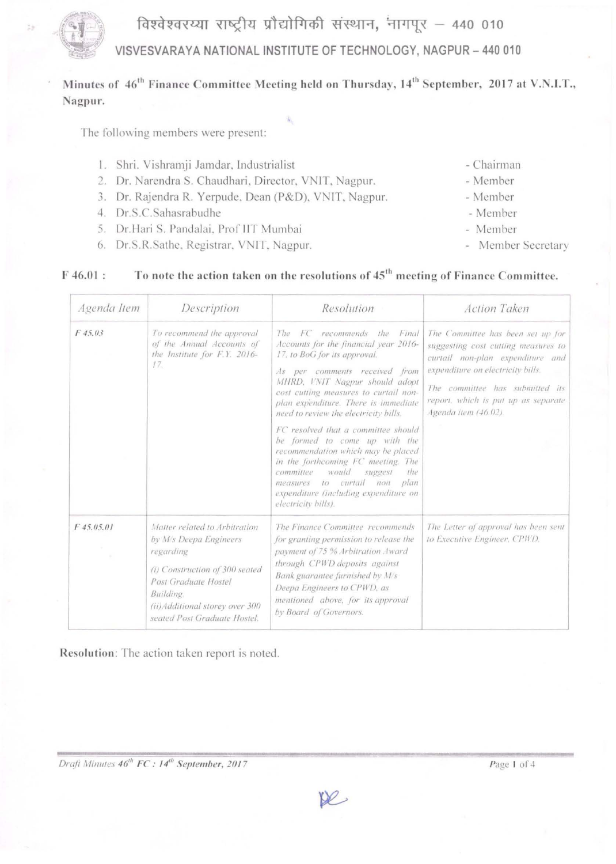

 $F46.01:$ 

VISVESVARAYA NATIONAL INSTITUTE OF TECHNOLOGY, NAGPUR - 440 010

## Minutes of 46<sup>th</sup> Finance Committee Meeting held on Thursday, 14<sup>th</sup> September, 2017 at V.N.I.T., Nagpur.

The following members were present:

- 1. Shri. Vishramji Jamdar, Industrialist
- 2. Dr. Narendra S. Chaudhari, Director, VNIT, Nagpur.
- 3. Dr. Rajendra R. Yerpude, Dean (P&D), VNIT, Nagpur.
- 4. Dr.S.C.Sahasrabudhe
- 5. Dr.Hari S. Pandalai, Prof IIT Mumbai
- 6. Dr.S.R.Sathe, Registrar, VNIT, Nagpur.
- Chairman
- Member
	- Member
- Member
- Member
- Member Secretary

# To note the action taken on the resolutions of 45<sup>th</sup> meeting of Finance Committee.

| Agenda Item  | Description                                                                                                                                                                                                    | Resolution                                                                                                                                                                                                                                                                                              | <b>Action Taken</b>                                                                                                                                                                                                                                 |
|--------------|----------------------------------------------------------------------------------------------------------------------------------------------------------------------------------------------------------------|---------------------------------------------------------------------------------------------------------------------------------------------------------------------------------------------------------------------------------------------------------------------------------------------------------|-----------------------------------------------------------------------------------------------------------------------------------------------------------------------------------------------------------------------------------------------------|
| F45.03       | To recommend the approval<br>of the Annual Accounts of<br>the Institute for F.Y. 2016-<br>17.                                                                                                                  | The<br>FC recommends the<br>Final<br>Accounts for the financial year 2016-<br>17, to BoG for its approval.<br>As per comments received from<br>MHRD, VNIT Nagpur should adopt<br>cost cutting measures to curtail non-<br>plan expenditure. There is immediate<br>need to review the electricity bills. | The Committee has been set up for<br>suggesting cost cutting measures to<br>curtail non-plan expenditure and<br>expenditure on electricity bills.<br>The committee has submitted its<br>report, which is put up as separate<br>Agenda item (46.02). |
|              |                                                                                                                                                                                                                | FC resolved that a committee should<br>be formed to come up with the<br>recommendation which may be placed<br>in the forthcoming FC meeting. The<br>committee<br>would<br>suggest<br>the<br>measures to curtail non<br>plan<br>expenditure (including expenditure on<br>electricity bills).             |                                                                                                                                                                                                                                                     |
| $F$ 45.05.01 | Matter related to Arbitration<br>by M/s Deepa Engineers<br>regarding<br>(i) Construction of 300 seated<br>Post Graduate Hostel<br>Building.<br>(ii) Additional storey over 300<br>seated Post Graduate Hostel. | The Finance Committee recommends<br>for granting permission to release the<br>payment of 75 % Arbitration Award<br>through CPWD deposits against<br>Bank guarantee furnished by M/s<br>Deepa Engineers to CPWD, as<br>mentioned above, for its approval<br>by Board of Governors.                       | The Letter of approval has been sent<br>to Executive Engineer, CPWD.                                                                                                                                                                                |

Resolution: The action taken report is noted.

Draft Minutes 46<sup>th</sup> FC: 14<sup>th</sup> September, 2017

De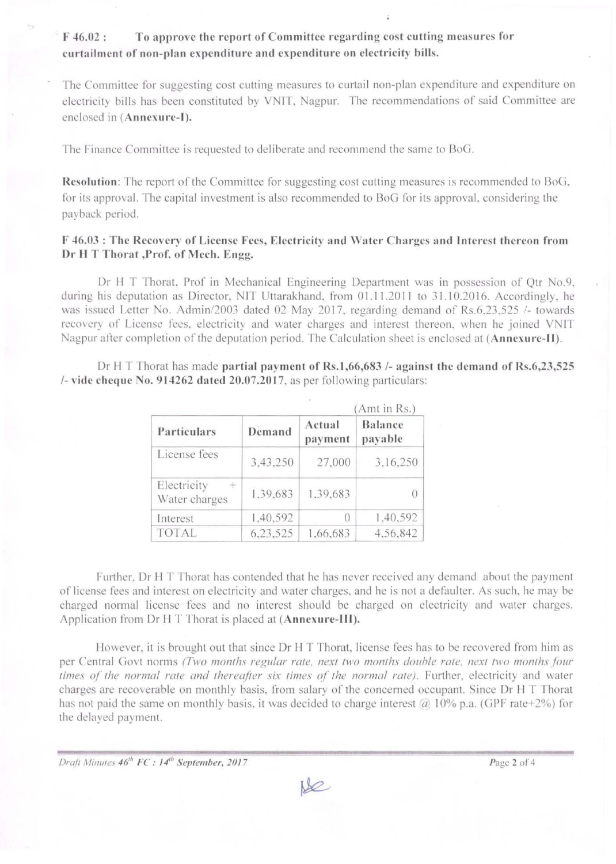To approve the report of Committee regarding cost cutting measures for  $F$  46.02 : curtailment of non-plan expenditure and expenditure on electricity bills.

The Committee for suggesting cost cutting measures to curtail non-plan expenditure and expenditure on electricity bills has been constituted by VNIT, Nagpur. The recommendations of said Committee are enclosed in (Annexure-I).

The Finance Committee is requested to deliberate and recommend the same to BoG.

Resolution: The report of the Committee for suggesting cost cutting measures is recommended to BoG, for its approval. The capital investment is also recommended to BoG for its approval, considering the payback period.

#### F 46.03 : The Recovery of License Fees, Electricity and Water Charges and Interest thereon from Dr H T Thorat , Prof. of Mech. Engg.

Dr H T Thorat, Prof in Mechanical Engineering Department was in possession of Qtr No.9, during his deputation as Director, NIT Uttarakhand, from 01.11.2011 to 31.10.2016. Accordingly, he was issued Letter No. Admin/2003 dated 02 May 2017, regarding demand of Rs.6,23,525 /- towards recovery of License fees, electricity and water charges and interest thereon, when he joined VNIT Nagpur after completion of the deputation period. The Calculation sheet is enclosed at (Annexure-II).

Dr H T Thorat has made partial payment of Rs.1,66,683 /- against the demand of Rs.6,23,525  $/$ - vide cheque No. 914262 dated 20.07.2017, as per following particulars:

|                                       |          |                   | (Amt in Rs.)       |  |
|---------------------------------------|----------|-------------------|--------------------|--|
| Particulars                           | Demand   | Actual<br>payment | Balance<br>payable |  |
| License fees                          | 3,43,250 | 27,000            | 3,16,250           |  |
| Electricity<br>$\pm$<br>Water charges | 1.39,683 | 1.39,683          | $\left( \right)$   |  |
| Interest                              | 1,40,592 | $^{()}$           | 1,40,592           |  |
| <b>TOTAL</b>                          | 6,23,525 | 1,66,683          | 4,56,842           |  |

Further, Dr H T Thorat has contended that he has never received any demand about the payment of license fees and interest on electricity and water charges, and he is not a defaulter. As such, he may be charged normal license fees and no interest should be charged on electricity and water charges. Application from Dr H T Thorat is placed at (Annexure-III).

However, it is brought out that since Dr H T Thorat, license fees has to be recovered from him as per Central Govt norms (Two months regular rate, next two months double rate, next two months four times of the normal rate and thereafter six times of the normal rate). Further, electricity and water charges are recoverable on monthly basis, from salary of the concerned occupant. Since Dr H T Thorat has not paid the same on monthly basis, it was decided to charge interest @ 10% p.a. (GPF rate+2%) for the delayed payment.

Draft Minutes 46<sup>th</sup> FC: 14<sup>th</sup> September, 2017

 $M$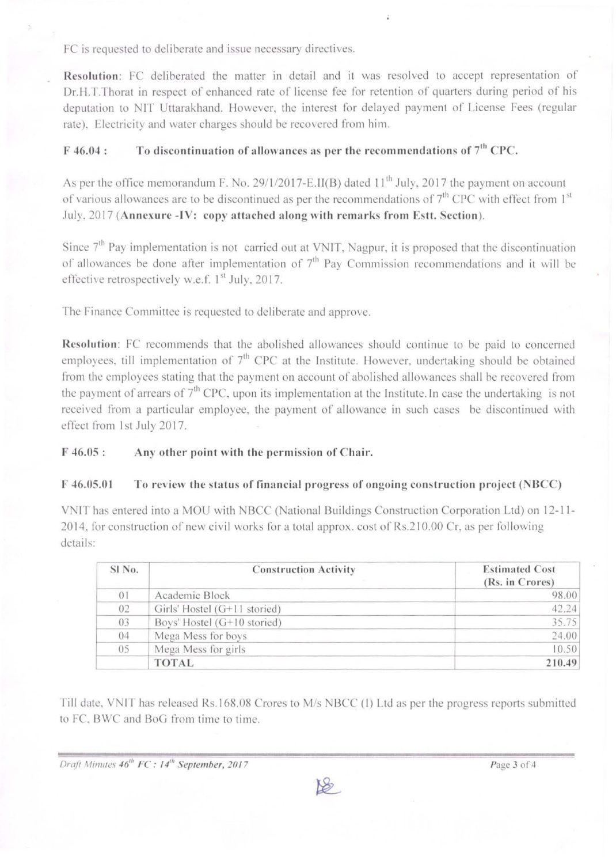FC is requested to deliberate and issue necessary directives.

Resolution: FC deliberated the matter in detail and it was resolved to accept representation of Dr.H.T.Thorat in respect of enhanced rate of license fee for retention of quarters during period of his deputation to NIT Uttarakhand. However, the interest for delayed payment of License Fees (regular rate). Electricity and water charges should be recovered from him.

## $F$  46.04 : To discontinuation of allowances as per the recommendations of  $7<sup>th</sup>$  CPC.

As per the office memorandum F. No. 29/1/2017-E.II(B) dated  $11<sup>th</sup>$  July, 2017 the payment on account of various allowances are to be discontinued as per the recommendations of  $7<sup>th</sup>$  CPC with effect from  $1<sup>st</sup>$ July, 2017 (Annexure -IV: copy attached along with remarks from Estt. Section).

Since 7<sup>th</sup> Pay implementation is not carried out at VNIT, Nagpur, it is proposed that the discontinuation of allowances be done after implementation of  $7<sup>th</sup>$  Pay Commission recommendations and it will be effective retrospectively w.e.f.  $1<sup>st</sup>$  July, 2017.

The Finance Committee is requested to deliberate and approve.

Resolution: FC recommends that the abolished allowances should continue to be paid to concerned employees, till implementation of  $7<sup>th</sup>$  CPC at the Institute. However, undertaking should be obtained from the employees stating that the payment on account of abolished allowances shall be recovered from the payment of arrears of  $7<sup>th</sup>$  CPC, upon its implementation at the Institute. In case the undertaking is not received from a particular employee, the payment of allowance in such cases be discontinued with effect from 1st July 2017.

F 46.05 : Any other point with the permission of Chair.

### F 46.05.01 To review the status of financial progress of ongoing construction project (NBCC)

VNIT has entered into a MOU with NBCC (National Buildings Construction Corporation Ltd) on 12-11- 2014, for construction of new civil works for a total approx. cost of Rs.210.00 Cr, as per following details:

| SI No.         | <b>Construction Activity</b> | <b>Estimated Cost</b><br>(Rs. in Crores) |
|----------------|------------------------------|------------------------------------------|
| 0 <sub>1</sub> | Academic Block               | 98.00                                    |
| 02             | Girls' Hostel (G+11 storied) | 42.24                                    |
| 03             | Boys' Hostel (G+10 storied)  | 35.75                                    |
| 04             | Mega Mess for boys           | 24.00                                    |
| 05             | Mega Mess for girls          | 10.50                                    |
|                | <b>TOTAL</b>                 | 210.49                                   |

Till date, VNIT has released Rs.168.08 Crores to M/s NBCC (I) Ltd as per the progress reports submitted to FC, BWC and BoG from time to time.

**Draft Minutes 46<sup>th</sup> <b>FC**: 14<sup>th</sup> September, 2017 **Page 3 of 4**